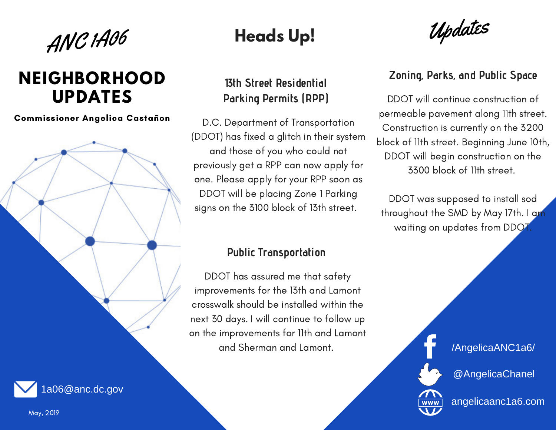

## **NEIGHBORHOOD UPDATES**

Commissioner Angelica Castañon

# **Heads Up!**

### **13th Street Residential Parking Permits (RPP)**

D.C. Department of Transportation (DDOT) has fixed a glitch in their system and those of you who could not previously get a RPP can now apply for one. Please apply for your RPP soon as DDOT will be placing Zone 1 Parking signs on the 3100 block of 13th street.

Updates

### **Zoning, Parks, and Public Space**

DDOT will continue construction of permeable pavement along 11th street. Construction is currently on the 3200 block of 11th street. Beginning June 10th, DDOT will begin construction on the 3300 block of 11th street.

DDOT was supposed to install sod throughout the SMD by May 17th. I am waiting on updates from DDOT.

### **Public Transportation**

DDOT has assured me that safety improvements for the 13th and Lamont crosswalk should be installed within the next 30 days. I will continue to follow up on the improvements for 11th and Lamont and Sherman and Lamont.

/AngelicaANC1a6/

@AngelicaChanel



angelicaanc1a6.com

May, 2019

1a06@anc.dc.gov